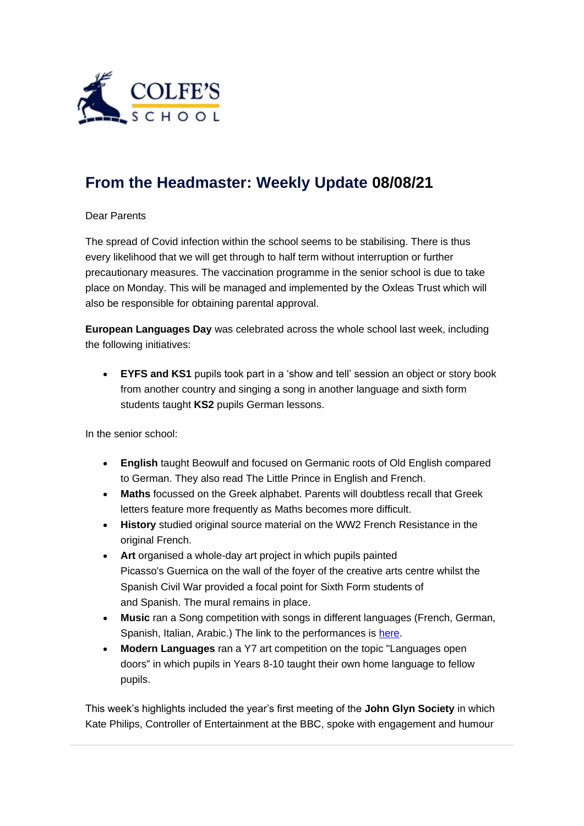

## **[From the Headmaster: Weekly Update](https://urlsand.esvalabs.com/?u=https%3A%2F%2Fschoolpostcdn.blob.core.windows.net%2Fpublic%2F~%2Femail-test-message.html&e=f4e25f66&h=847ca343&f=y&p=y) 08/08/21**

## Dear Parents

The spread of Covid infection within the school seems to be stabilising. There is thus every likelihood that we will get through to half term without interruption or further precautionary measures. The vaccination programme in the senior school is due to take place on Monday. This will be managed and implemented by the Oxleas Trust which will also be responsible for obtaining parental approval.

**European Languages Day** was celebrated across the whole school last week, including the following initiatives:

• **EYFS and KS1** pupils took part in a 'show and tell' session an object or story book from another country and singing a song in another language and sixth form students taught **KS2** pupils German lessons.

In the senior school:

- **English** taught Beowulf and focused on Germanic roots of Old English compared to German. They also read The Little Prince in English and French.
- **Maths** focussed on the Greek alphabet. Parents will doubtless recall that Greek letters feature more frequently as Maths becomes more difficult.
- **History** studied original source material on the WW2 French Resistance in the original French.
- **Art** organised a whole-day art project in which pupils painted Picasso's Guernica on the wall of the foyer of the creative arts centre whilst the Spanish Civil War provided a focal point for Sixth Form students of and Spanish. The mural remains in place.
- **Music** ran a Song competition with songs in different languages (French, German, Spanish, Italian, Arabic.) The link to the performances is [here.](https://urlsand.esvalabs.com/?u=https%3A%2F%2Fcolfes.sharepoint.com%2F%3Af%3A%2Fs%2FCS_Subjects_MU%2FEmF3EAKZOMVNpDasz1oTJo8BhX6TWg4mVEWE85py_Z1y8w%3Fe%3DydhC5d&e=f4e25f66&h=5d338044&f=y&p=y)
- **Modern Languages** ran a Y7 art competition on the topic "Languages open doors" in which pupils in Years 8-10 taught their own home language to fellow pupils.

This week's highlights included the year's first meeting of the **John Glyn Society** in which Kate Philips, Controller of Entertainment at the BBC, spoke with engagement and humour